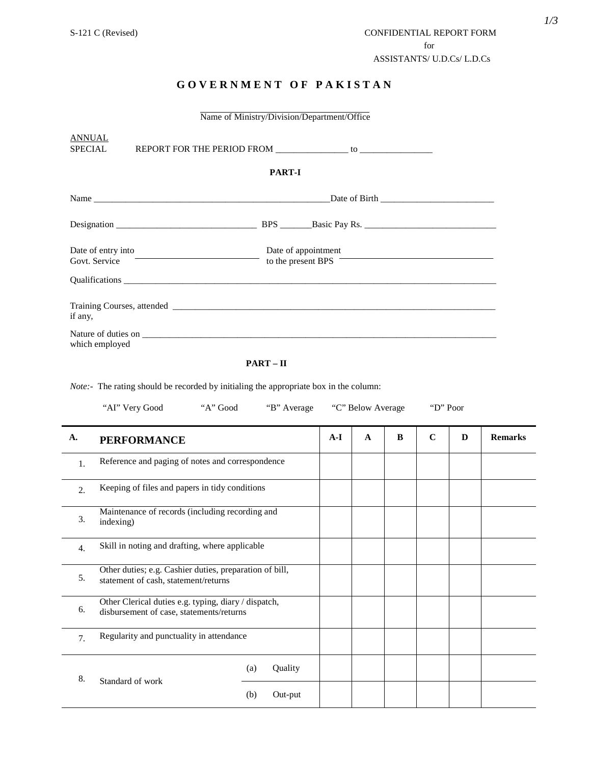# **G O V E R N M E N T O F P A K I S T A N**

| Name of Ministry/Division/Department/Office |                                                                            |               |                                           |  |  |
|---------------------------------------------|----------------------------------------------------------------------------|---------------|-------------------------------------------|--|--|
| <b>ANNUAL</b><br>SPECIAL                    |                                                                            | <b>PART-I</b> |                                           |  |  |
|                                             |                                                                            |               | Date of Birth Date of Birth               |  |  |
|                                             |                                                                            |               |                                           |  |  |
|                                             | Date of entry into $\overbrace{C}$ and $\overbrace{C}$ and $\overbrace{C}$ |               | Date of appointment<br>to the present BPS |  |  |
| if any,<br>which employed                   |                                                                            |               |                                           |  |  |
|                                             |                                                                            |               |                                           |  |  |

#### $\mathbf{PART} - \mathbf{II}$

*Note:-* The rating should be recorded by initialing the appropriate box in the column:

|                  | "AI" Very Good<br>"A" Good                                                                       |                | "B" Average |       | "C" Below Average |   | "D" Poor    |   |                |
|------------------|--------------------------------------------------------------------------------------------------|----------------|-------------|-------|-------------------|---|-------------|---|----------------|
| A.               | <b>PERFORMANCE</b>                                                                               |                |             | $A-I$ | $\mathbf{A}$      | B | $\mathbf C$ | D | <b>Remarks</b> |
| 1.               | Reference and paging of notes and correspondence                                                 |                |             |       |                   |   |             |   |                |
| 2.               | Keeping of files and papers in tidy conditions                                                   |                |             |       |                   |   |             |   |                |
| 3.               | Maintenance of records (including recording and<br>indexing)                                     |                |             |       |                   |   |             |   |                |
| $\overline{4}$ . | Skill in noting and drafting, where applicable                                                   |                |             |       |                   |   |             |   |                |
| 5.               | Other duties; e.g. Cashier duties, preparation of bill,<br>statement of cash, statement/returns  |                |             |       |                   |   |             |   |                |
| 6.               | Other Clerical duties e.g. typing, diary / dispatch,<br>disbursement of case, statements/returns |                |             |       |                   |   |             |   |                |
| 7 <sub>1</sub>   | Regularity and punctuality in attendance                                                         |                |             |       |                   |   |             |   |                |
| 8.               | Standard of work                                                                                 | Quality<br>(a) |             |       |                   |   |             |   |                |
|                  |                                                                                                  | (b)<br>Out-put |             |       |                   |   |             |   |                |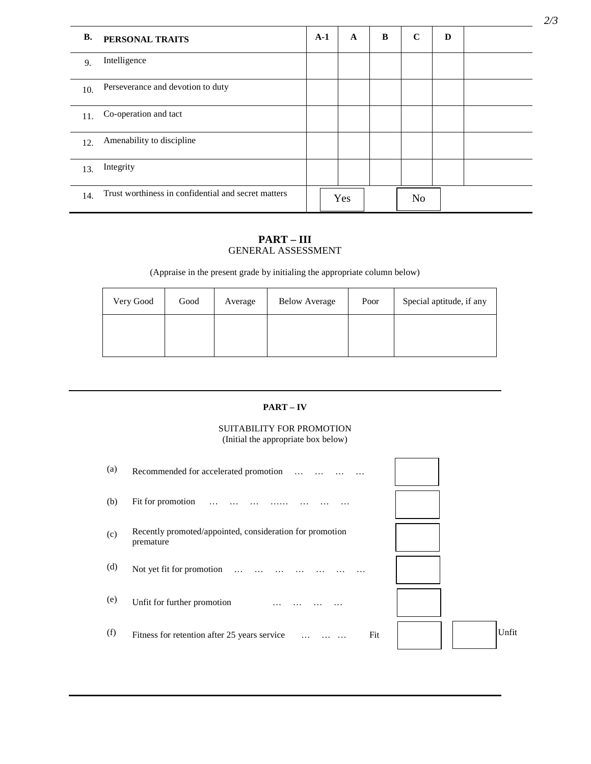| <b>B.</b> | PERSONAL TRAITS                                     | $A-1$ | $\mathbf{A}$ | B | $\mathbf C$    | D |  |
|-----------|-----------------------------------------------------|-------|--------------|---|----------------|---|--|
| 9.        | Intelligence                                        |       |              |   |                |   |  |
| 10.       | Perseverance and devotion to duty                   |       |              |   |                |   |  |
| 11.       | Co-operation and tact                               |       |              |   |                |   |  |
| 12.       | Amenability to discipline                           |       |              |   |                |   |  |
| 13.       | Integrity                                           |       |              |   |                |   |  |
| 14.       | Trust worthiness in confidential and secret matters |       | Yes          |   | N <sub>o</sub> |   |  |

## **PART – III** GENERAL ASSESSMENT

(Appraise in the present grade by initialing the appropriate column below)

| Very Good | Good | Average | <b>Below Average</b> | Poor | Special aptitude, if any |
|-----------|------|---------|----------------------|------|--------------------------|
|           |      |         |                      |      |                          |

## **PART – IV**

## SUITABILITY FOR PROMOTION (Initial the appropriate box below)

| (a) | Recommended for accelerated promotion<br>$\ddotsc$                    |       |
|-----|-----------------------------------------------------------------------|-------|
| (b) | Fit for promotion                                                     |       |
| (c) | Recently promoted/appointed, consideration for promotion<br>premature |       |
| (d) | Not yet fit for promotion<br>$\ldots$                                 |       |
| (e) | Unfit for further promotion                                           |       |
| (f) | Fit<br>Fitness for retention after 25 years service                   | Unfit |